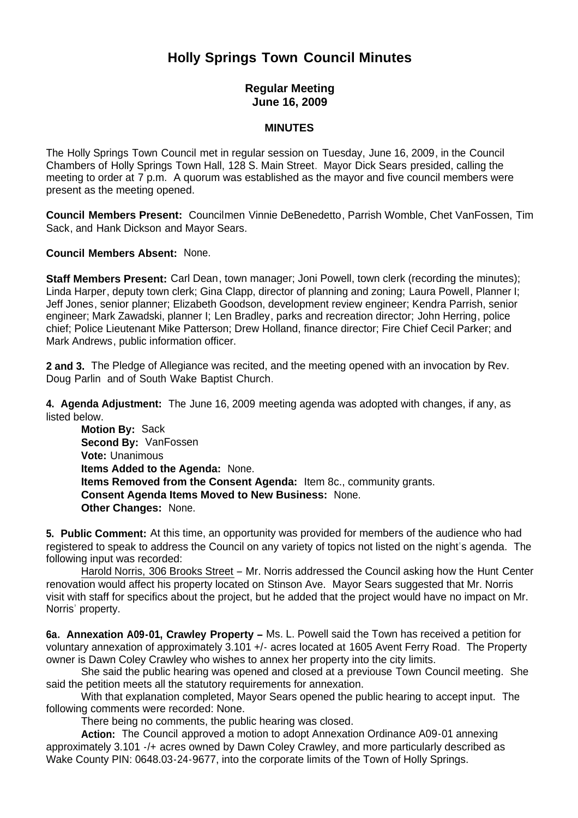# **Holly Springs Town Council Minutes**

# **Regular Meeting June 16, 2009**

#### **MINUTES**

The Holly Springs Town Council met in regular session on Tuesday, June 16, 2009, in the Council Chambers of Holly Springs Town Hall, 128 S. Main Street. Mayor Dick Sears presided, calling the meeting to order at 7 p.m. A quorum was established as the mayor and five council members were present as the meeting opened.

**Council Members Present:** Councilmen Vinnie DeBenedetto, Parrish Womble, Chet VanFossen, Tim Sack, and Hank Dickson and Mayor Sears.

**Council Members Absent:** None.

**Staff Members Present:** Carl Dean, town manager; Joni Powell, town clerk (recording the minutes); Linda Harper, deputy town clerk; Gina Clapp, director of planning and zoning; Laura Powell, Planner I; Jeff Jones, senior planner; Elizabeth Goodson, development review engineer; Kendra Parrish, senior engineer; Mark Zawadski, planner I; Len Bradley, parks and recreation director; John Herring, police chief; Police Lieutenant Mike Patterson; Drew Holland, finance director; Fire Chief Cecil Parker; and Mark Andrews, public information officer.

**2 and 3.** The Pledge of Allegiance was recited, and the meeting opened with an invocation by Rev. Doug Parlin and of South Wake Baptist Church.

**4. Agenda Adjustment:** The June 16, 2009 meeting agenda was adopted with changes, if any, as listed below.

 **Motion By:** Sack **Second By:** VanFossen **Vote:** Unanimous  **Items Added to the Agenda:** None. **Items Removed from the Consent Agenda:** Item 8c., community grants. **Consent Agenda Items Moved to New Business:** None. **Other Changes:** None.

**5. Public Comment:** At this time, an opportunity was provided for members of the audience who had registered to speak to address the Council on any variety of topics not listed on the night's agenda. The following input was recorded:

Harold Norris, 306 Brooks Street – Mr. Norris addressed the Council asking how the Hunt Center renovation would affect his property located on Stinson Ave. Mayor Sears suggested that Mr. Norris visit with staff for specifics about the project, but he added that the project would have no impact on Mr. Norris' property.

**6a. Annexation A09-01, Crawley Property –** Ms. L. Powell said the Town has received a petition for voluntary annexation of approximately 3.101 +/- acres located at 1605 Avent Ferry Road. The Property owner is Dawn Coley Crawley who wishes to annex her property into the city limits.

She said the public hearing was opened and closed at a previouse Town Council meeting. She said the petition meets all the statutory requirements for annexation.

With that explanation completed, Mayor Sears opened the public hearing to accept input. The following comments were recorded: None.

There being no comments, the public hearing was closed.

 **Action:** The Council approved a motion to adopt Annexation Ordinance A09-01 annexing approximately 3.101 -/+ acres owned by Dawn Coley Crawley, and more particularly described as Wake County PIN: 0648.03-24-9677, into the corporate limits of the Town of Holly Springs.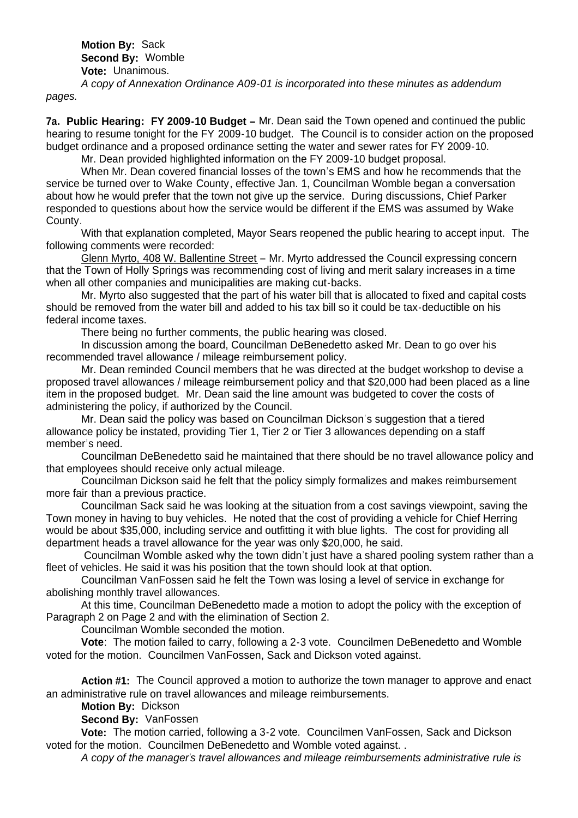**Motion By:** Sack **Second By:** Womble **Vote:** Unanimous.

*A copy of Annexation Ordinance A09-01 is incorporated into these minutes as addendum pages.*

**7a. Public Hearing: FY 2009-10 Budget –** Mr. Dean said the Town opened and continued the public hearing to resume tonight for the FY 2009-10 budget. The Council is to consider action on the proposed budget ordinance and a proposed ordinance setting the water and sewer rates for FY 2009-10.

Mr. Dean provided highlighted information on the FY 2009-10 budget proposal.

When Mr. Dean covered financial losses of the town's EMS and how he recommends that the service be turned over to Wake County, effective Jan. 1, Councilman Womble began a conversation about how he would prefer that the town not give up the service. During discussions, Chief Parker responded to questions about how the service would be different if the EMS was assumed by Wake County.

With that explanation completed, Mayor Sears reopened the public hearing to accept input. The following comments were recorded:

Glenn Myrto, 408 W. Ballentine Street – Mr. Myrto addressed the Council expressing concern that the Town of Holly Springs was recommending cost of living and merit salary increases in a time when all other companies and municipalities are making cut-backs.

Mr. Myrto also suggested that the part of his water bill that is allocated to fixed and capital costs should be removed from the water bill and added to his tax bill so it could be tax-deductible on his federal income taxes.

There being no further comments, the public hearing was closed.

In discussion among the board, Councilman DeBenedetto asked Mr. Dean to go over his recommended travel allowance / mileage reimbursement policy.

Mr. Dean reminded Council members that he was directed at the budget workshop to devise a proposed travel allowances / mileage reimbursement policy and that \$20,000 had been placed as a line item in the proposed budget. Mr. Dean said the line amount was budgeted to cover the costs of administering the policy, if authorized by the Council.

Mr. Dean said the policy was based on Councilman Dickson's suggestion that a tiered allowance policy be instated, providing Tier 1, Tier 2 or Tier 3 allowances depending on a staff member's need.

Councilman DeBenedetto said he maintained that there should be no travel allowance policy and that employees should receive only actual mileage.

Councilman Dickson said he felt that the policy simply formalizes and makes reimbursement more fair than a previous practice.

Councilman Sack said he was looking at the situation from a cost savings viewpoint, saving the Town money in having to buy vehicles. He noted that the cost of providing a vehicle for Chief Herring would be about \$35,000, including service and outfitting it with blue lights. The cost for providing all department heads a travel allowance for the year was only \$20,000, he said.

Councilman Womble asked why the town didn't just have a shared pooling system rather than a fleet of vehicles. He said it was his position that the town should look at that option.

Councilman VanFossen said he felt the Town was losing a level of service in exchange for abolishing monthly travel allowances.

At this time, Councilman DeBenedetto made a motion to adopt the policy with the exception of Paragraph 2 on Page 2 and with the elimination of Section 2.

Councilman Womble seconded the motion.

**Vote**: The motion failed to carry, following a 2-3 vote. Councilmen DeBenedetto and Womble voted for the motion. Councilmen VanFossen, Sack and Dickson voted against.

**Action #1:** The Council approved a motion to authorize the town manager to approve and enact an administrative rule on travel allowances and mileage reimbursements.

**Motion By:** Dickson

**Second By:** VanFossen

 **Vote:** The motion carried, following a 3-2 vote. Councilmen VanFossen, Sack and Dickson voted for the motion. Councilmen DeBenedetto and Womble voted against. .

*A copy of the manager's travel allowances and mileage reimbursements administrative rule is*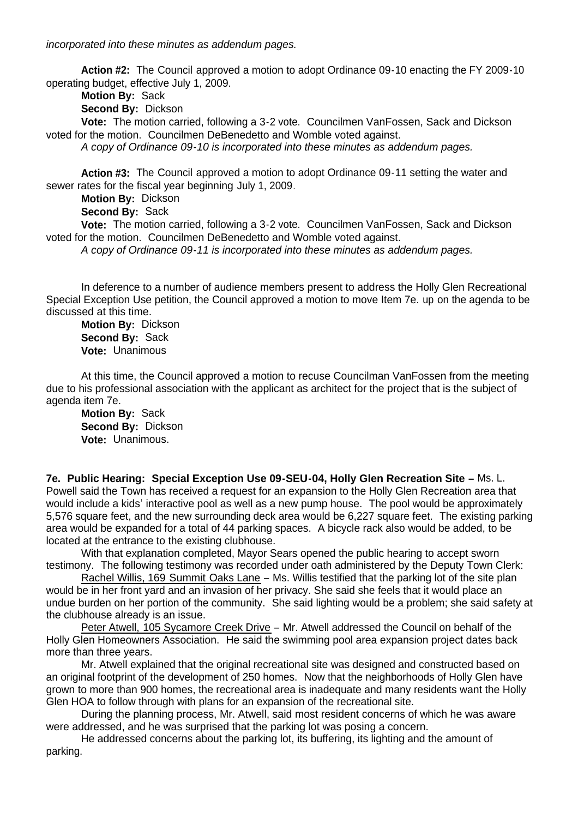*incorporated into these minutes as addendum pages.*

**Action #2:** The Council approved a motion to adopt Ordinance 09-10 enacting the FY 2009-10 operating budget, effective July 1, 2009.

**Motion By:** Sack

**Second By:** Dickson

 **Vote:** The motion carried, following a 3-2 vote. Councilmen VanFossen, Sack and Dickson voted for the motion. Councilmen DeBenedetto and Womble voted against.

*A copy of Ordinance 09-10 is incorporated into these minutes as addendum pages.*

**Action #3:** The Council approved a motion to adopt Ordinance 09-11 setting the water and sewer rates for the fiscal year beginning July 1, 2009.

**Motion By:** Dickson

**Second By:** Sack

 **Vote:** The motion carried, following a 3-2 vote. Councilmen VanFossen, Sack and Dickson voted for the motion. Councilmen DeBenedetto and Womble voted against.

 *A copy of Ordinance 09-11 is incorporated into these minutes as addendum pages.*

In deference to a number of audience members present to address the Holly Glen Recreational Special Exception Use petition, the Council approved a motion to move Item 7e. up on the agenda to be discussed at this time.

**Motion By:** Dickson **Second By:** Sack **Vote:** Unanimous

At this time, the Council approved a motion to recuse Councilman VanFossen from the meeting due to his professional association with the applicant as architect for the project that is the subject of agenda item 7e.

**Motion By:** Sack **Second By:** Dickson **Vote:** Unanimous.

**7e. Public Hearing: Special Exception Use 09-SEU-04, Holly Glen Recreation Site –** Ms. L. Powell said the Town has received a request for an expansion to the Holly Glen Recreation area that would include a kids' interactive pool as well as a new pump house. The pool would be approximately 5,576 square feet, and the new surrounding deck area would be 6,227 square feet. The existing parking area would be expanded for a total of 44 parking spaces. A bicycle rack also would be added, to be located at the entrance to the existing clubhouse.

With that explanation completed, Mayor Sears opened the public hearing to accept sworn testimony. The following testimony was recorded under oath administered by the Deputy Town Clerk:

Rachel Willis, 169 Summit Oaks Lane - Ms. Willis testified that the parking lot of the site plan would be in her front yard and an invasion of her privacy. She said she feels that it would place an undue burden on her portion of the community. She said lighting would be a problem; she said safety at the clubhouse already is an issue.

Peter Atwell, 105 Sycamore Creek Drive – Mr. Atwell addressed the Council on behalf of the Holly Glen Homeowners Association. He said the swimming pool area expansion project dates back more than three years.

Mr. Atwell explained that the original recreational site was designed and constructed based on an original footprint of the development of 250 homes. Now that the neighborhoods of Holly Glen have grown to more than 900 homes, the recreational area is inadequate and many residents want the Holly Glen HOA to follow through with plans for an expansion of the recreational site.

During the planning process, Mr. Atwell, said most resident concerns of which he was aware were addressed, and he was surprised that the parking lot was posing a concern.

He addressed concerns about the parking lot, its buffering, its lighting and the amount of parking.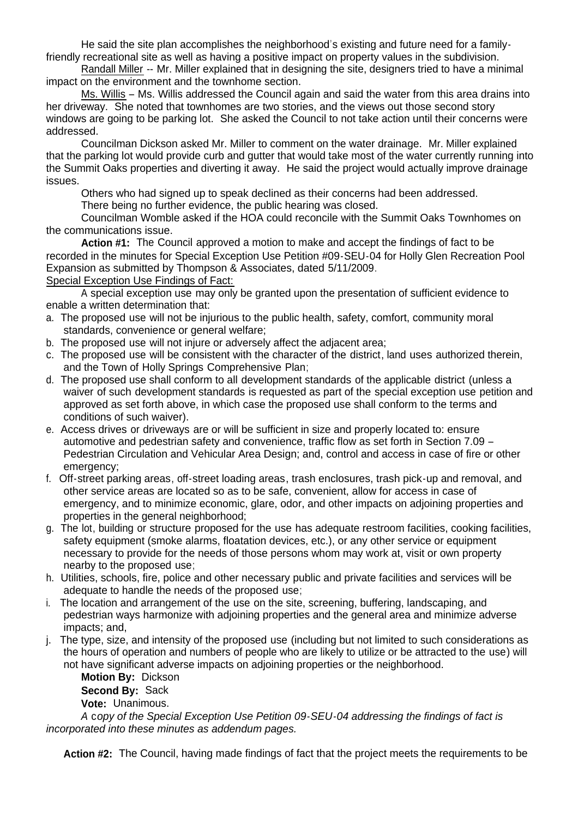He said the site plan accomplishes the neighborhood's existing and future need for a familyfriendly recreational site as well as having a positive impact on property values in the subdivision.

Randall Miller -- Mr. Miller explained that in designing the site, designers tried to have a minimal impact on the environment and the townhome section.

Ms. Willis – Ms. Willis addressed the Council again and said the water from this area drains into her driveway. She noted that townhomes are two stories, and the views out those second story windows are going to be parking lot. She asked the Council to not take action until their concerns were addressed.

Councilman Dickson asked Mr. Miller to comment on the water drainage. Mr. Miller explained that the parking lot would provide curb and gutter that would take most of the water currently running into the Summit Oaks properties and diverting it away. He said the project would actually improve drainage issues.

Others who had signed up to speak declined as their concerns had been addressed.

There being no further evidence, the public hearing was closed.

Councilman Womble asked if the HOA could reconcile with the Summit Oaks Townhomes on the communications issue.

 **Action #1:** The Council approved a motion to make and accept the findings of fact to be recorded in the minutes for Special Exception Use Petition #09-SEU-04 for Holly Glen Recreation Pool Expansion as submitted by Thompson & Associates, dated 5/11/2009.

### Special Exception Use Findings of Fact:

 A special exception use may only be granted upon the presentation of sufficient evidence to enable a written determination that:

- a. The proposed use will not be injurious to the public health, safety, comfort, community moral standards, convenience or general welfare;
- b. The proposed use will not injure or adversely affect the adjacent area;
- c. The proposed use will be consistent with the character of the district, land uses authorized therein, and the Town of Holly Springs Comprehensive Plan;
- d. The proposed use shall conform to all development standards of the applicable district (unless a waiver of such development standards is requested as part of the special exception use petition and approved as set forth above, in which case the proposed use shall conform to the terms and conditions of such waiver).
- e. Access drives or driveways are or will be sufficient in size and properly located to: ensure automotive and pedestrian safety and convenience, traffic flow as set forth in Section 7.09 – Pedestrian Circulation and Vehicular Area Design; and, control and access in case of fire or other emergency:
- f. Off-street parking areas, off-street loading areas, trash enclosures, trash pick-up and removal, and other service areas are located so as to be safe, convenient, allow for access in case of emergency, and to minimize economic, glare, odor, and other impacts on adjoining properties and properties in the general neighborhood;
- g. The lot, building or structure proposed for the use has adequate restroom facilities, cooking facilities, safety equipment (smoke alarms, floatation devices, etc.), or any other service or equipment necessary to provide for the needs of those persons whom may work at, visit or own property nearby to the proposed use;
- h. Utilities, schools, fire, police and other necessary public and private facilities and services will be adequate to handle the needs of the proposed use;
- i. The location and arrangement of the use on the site, screening, buffering, landscaping, and pedestrian ways harmonize with adjoining properties and the general area and minimize adverse impacts; and,
- j. The type, size, and intensity of the proposed use (including but not limited to such considerations as the hours of operation and numbers of people who are likely to utilize or be attracted to the use) will not have significant adverse impacts on adjoining properties or the neighborhood.

**Motion By:** Dickson **Second By:** Sack

**Vote:** Unanimous.

*A* c*opy of the Special Exception Use Petition 09-SEU-04 addressing the findings of fact is incorporated into these minutes as addendum pages.*

**Action #2:** The Council, having made findings of fact that the project meets the requirements to be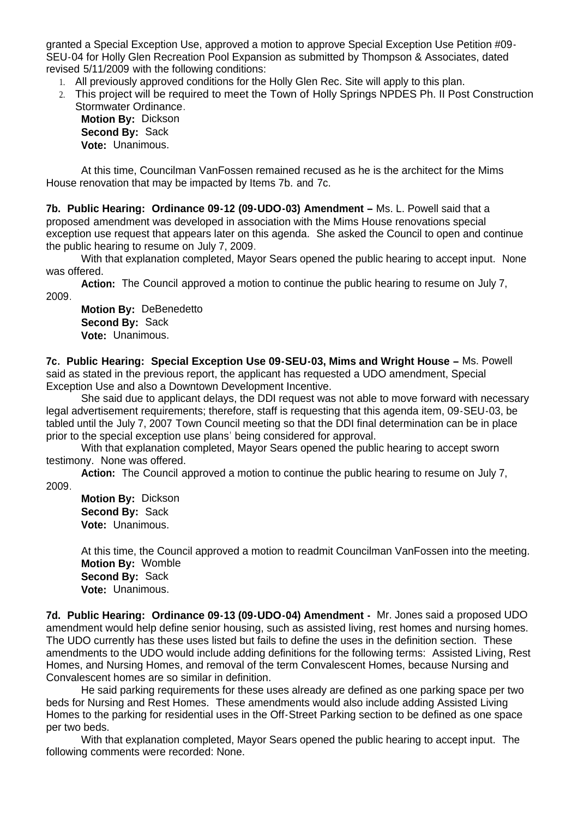granted a Special Exception Use, approved a motion to approve Special Exception Use Petition #09- SEU-04 for Holly Glen Recreation Pool Expansion as submitted by Thompson & Associates, dated revised 5/11/2009 with the following conditions:

- 1. All previously approved conditions for the Holly Glen Rec. Site will apply to this plan.
- 2. This project will be required to meet the Town of Holly Springs NPDES Ph. II Post Construction Stormwater Ordinance.

**Motion By:** Dickson **Second By:** Sack **Vote:** Unanimous.

 At this time, Councilman VanFossen remained recused as he is the architect for the Mims House renovation that may be impacted by Items 7b. and 7c.

**7b. Public Hearing: Ordinance 09-12 (09-UDO-03) Amendment –** Ms. L. Powell said that a proposed amendment was developed in association with the Mims House renovations special exception use request that appears later on this agenda. She asked the Council to open and continue the public hearing to resume on July 7, 2009.

With that explanation completed, Mayor Sears opened the public hearing to accept input. None was offered.

**Action:** The Council approved a motion to continue the public hearing to resume on July 7, 2009.

**Motion By:** DeBenedetto **Second By:** Sack **Vote:** Unanimous.

**7c. Public Hearing: Special Exception Use 09-SEU-03, Mims and Wright House –** Ms. Powell said as stated in the previous report, the applicant has requested a UDO amendment, Special Exception Use and also a Downtown Development Incentive.

 She said due to applicant delays, the DDI request was not able to move forward with necessary legal advertisement requirements; therefore, staff is requesting that this agenda item, 09-SEU-03, be tabled until the July 7, 2007 Town Council meeting so that the DDI final determination can be in place prior to the special exception use plans' being considered for approval.

With that explanation completed, Mayor Sears opened the public hearing to accept sworn testimony. None was offered.

**Action:** The Council approved a motion to continue the public hearing to resume on July 7, 2009.

**Motion By:** Dickson **Second By:** Sack **Vote:** Unanimous.

At this time, the Council approved a motion to readmit Councilman VanFossen into the meeting. **Motion By:** Womble **Second By:** Sack **Vote:** Unanimous.

**7d. Public Hearing: Ordinance 09-13 (09-UDO-04) Amendment -** Mr. Jones said a proposed UDO amendment would help define senior housing, such as assisted living, rest homes and nursing homes. The UDO currently has these uses listed but fails to define the uses in the definition section. These amendments to the UDO would include adding definitions for the following terms: Assisted Living, Rest Homes, and Nursing Homes, and removal of the term Convalescent Homes, because Nursing and Convalescent homes are so similar in definition.

 He said parking requirements for these uses already are defined as one parking space per two beds for Nursing and Rest Homes. These amendments would also include adding Assisted Living Homes to the parking for residential uses in the Off-Street Parking section to be defined as one space per two beds.

With that explanation completed, Mayor Sears opened the public hearing to accept input. The following comments were recorded: None.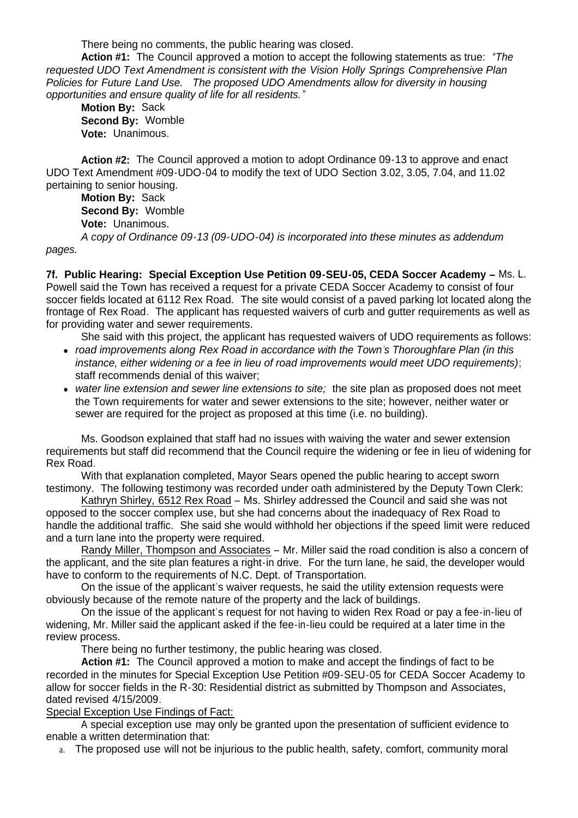There being no comments, the public hearing was closed.

**Action #1:** The Council approved a motion to accept the following statements as true: *"The requested UDO Text Amendment is consistent with the Vision Holly Springs Comprehensive Plan Policies for Future Land Use. The proposed UDO Amendments allow for diversity in housing opportunities and ensure quality of life for all residents."*

**Motion By:** Sack **Second By:** Womble **Vote:** Unanimous.

**Action #2:** The Council approved a motion to adopt Ordinance 09-13 to approve and enact UDO Text Amendment #09-UDO-04 to modify the text of UDO Section 3.02, 3.05, 7.04, and 11.02 pertaining to senior housing.

**Motion By:** Sack **Second By:** Womble **Vote:** Unanimous. *A copy of Ordinance 09-13 (09-UDO-04) is incorporated into these minutes as addendum* 

*pages.*

**7f. Public Hearing: Special Exception Use Petition 09-SEU-05, CEDA Soccer Academy –** Ms. L. Powell said the Town has received a request for a private CEDA Soccer Academy to consist of four soccer fields located at 6112 Rex Road. The site would consist of a paved parking lot located along the frontage of Rex Road. The applicant has requested waivers of curb and gutter requirements as well as for providing water and sewer requirements.

She said with this project, the applicant has requested waivers of UDO requirements as follows:

- *road improvements along Rex Road in accordance with the Town's Thoroughfare Plan (in this instance, either widening or a fee in lieu of road improvements would meet UDO requirements)*; staff recommends denial of this waiver;
- *water line extension and sewer line extensions to site;* the site plan as proposed does not meet the Town requirements for water and sewer extensions to the site; however, neither water or sewer are required for the project as proposed at this time (i.e. no building).

 Ms. Goodson explained that staff had no issues with waiving the water and sewer extension requirements but staff did recommend that the Council require the widening or fee in lieu of widening for Rex Road.

With that explanation completed, Mayor Sears opened the public hearing to accept sworn testimony. The following testimony was recorded under oath administered by the Deputy Town Clerk:

Kathryn Shirley, 6512 Rex Road – Ms. Shirley addressed the Council and said she was not opposed to the soccer complex use, but she had concerns about the inadequacy of Rex Road to handle the additional traffic. She said she would withhold her objections if the speed limit were reduced and a turn lane into the property were required.

Randy Miller, Thompson and Associates – Mr. Miller said the road condition is also a concern of the applicant, and the site plan features a right-in drive. For the turn lane, he said, the developer would have to conform to the requirements of N.C. Dept. of Transportation.

On the issue of the applicant's waiver requests, he said the utility extension requests were obviously because of the remote nature of the property and the lack of buildings.

On the issue of the applicant's request for not having to widen Rex Road or pay a fee-in-lieu of widening, Mr. Miller said the applicant asked if the fee-in-lieu could be required at a later time in the review process.

There being no further testimony, the public hearing was closed.

**Action #1:** The Council approved a motion to make and accept the findings of fact to be recorded in the minutes for Special Exception Use Petition #09-SEU-05 for CEDA Soccer Academy to allow for soccer fields in the R-30: Residential district as submitted by Thompson and Associates, dated revised 4/15/2009.

Special Exception Use Findings of Fact:

 A special exception use may only be granted upon the presentation of sufficient evidence to enable a written determination that:

a. The proposed use will not be injurious to the public health, safety, comfort, community moral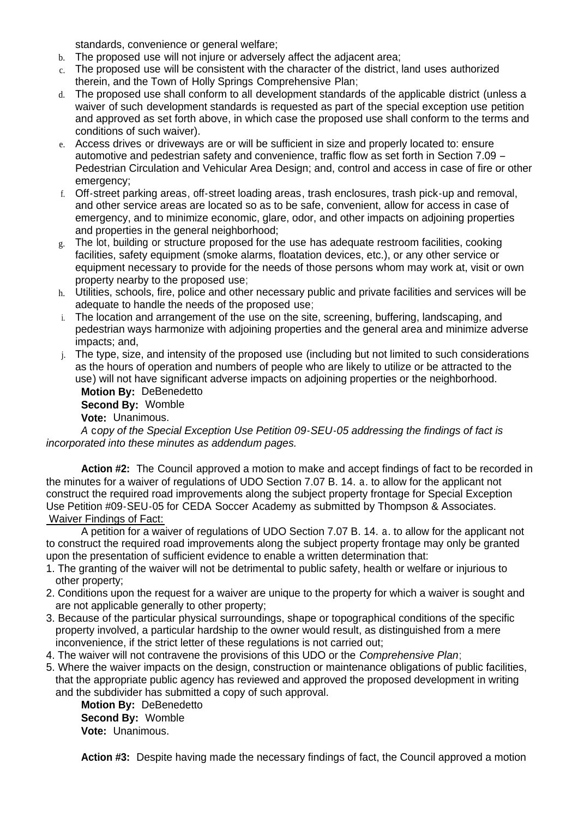standards, convenience or general welfare;

- b. The proposed use will not injure or adversely affect the adjacent area;
- c. The proposed use will be consistent with the character of the district, land uses authorized therein, and the Town of Holly Springs Comprehensive Plan;
- d. The proposed use shall conform to all development standards of the applicable district (unless a waiver of such development standards is requested as part of the special exception use petition and approved as set forth above, in which case the proposed use shall conform to the terms and conditions of such waiver).
- e. Access drives or driveways are or will be sufficient in size and properly located to: ensure automotive and pedestrian safety and convenience, traffic flow as set forth in Section 7.09 – Pedestrian Circulation and Vehicular Area Design; and, control and access in case of fire or other emergency:
- f. Off-street parking areas, off-street loading areas, trash enclosures, trash pick-up and removal, and other service areas are located so as to be safe, convenient, allow for access in case of emergency, and to minimize economic, glare, odor, and other impacts on adjoining properties and properties in the general neighborhood;
- g. The lot, building or structure proposed for the use has adequate restroom facilities, cooking facilities, safety equipment (smoke alarms, floatation devices, etc.), or any other service or equipment necessary to provide for the needs of those persons whom may work at, visit or own property nearby to the proposed use;
- h. Utilities, schools, fire, police and other necessary public and private facilities and services will be adequate to handle the needs of the proposed use;
- i. The location and arrangement of the use on the site, screening, buffering, landscaping, and pedestrian ways harmonize with adjoining properties and the general area and minimize adverse impacts; and,
- j. The type, size, and intensity of the proposed use (including but not limited to such considerations as the hours of operation and numbers of people who are likely to utilize or be attracted to the use) will not have significant adverse impacts on adjoining properties or the neighborhood.

**Motion By:** DeBenedetto **Second By:** Womble **Vote:** Unanimous.

*A* c*opy of the Special Exception Use Petition 09-SEU-05 addressing the findings of fact is incorporated into these minutes as addendum pages.*

**Action #2:** The Council approved a motion to make and accept findings of fact to be recorded in the minutes for a waiver of regulations of UDO Section 7.07 B. 14. a. to allow for the applicant not construct the required road improvements along the subject property frontage for Special Exception Use Petition #09-SEU-05 for CEDA Soccer Academy as submitted by Thompson & Associates. Waiver Findings of Fact:

A petition for a waiver of regulations of UDO Section 7.07 B. 14. a. to allow for the applicant not to construct the required road improvements along the subject property frontage may only be granted upon the presentation of sufficient evidence to enable a written determination that:

- 1. The granting of the waiver will not be detrimental to public safety, health or welfare or injurious to other property;
- 2. Conditions upon the request for a waiver are unique to the property for which a waiver is sought and are not applicable generally to other property;
- 3. Because of the particular physical surroundings, shape or topographical conditions of the specific property involved, a particular hardship to the owner would result, as distinguished from a mere inconvenience, if the strict letter of these regulations is not carried out;
- 4. The waiver will not contravene the provisions of this UDO or the *Comprehensive Plan*;
- 5. Where the waiver impacts on the design, construction or maintenance obligations of public facilities, that the appropriate public agency has reviewed and approved the proposed development in writing and the subdivider has submitted a copy of such approval.

**Motion By:** DeBenedetto **Second By:** Womble **Vote:** Unanimous.

Action #3: Despite having made the necessary findings of fact, the Council approved a motion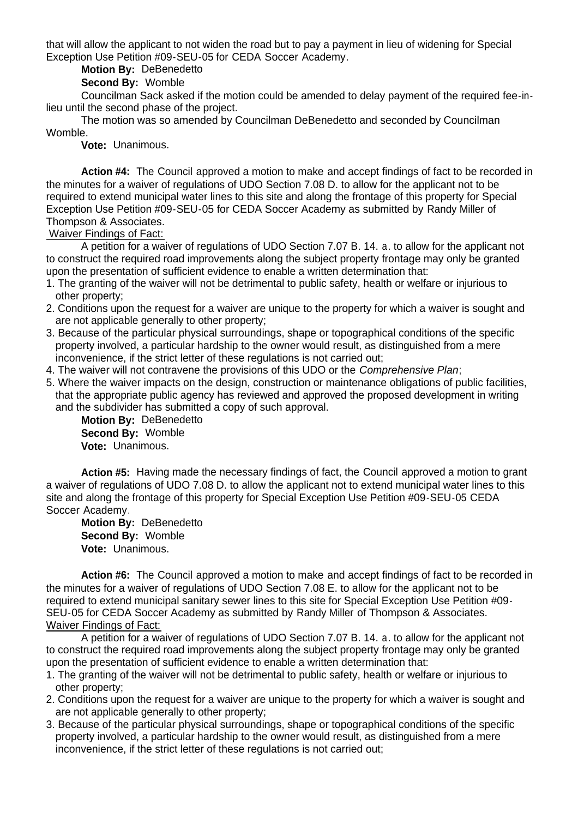that will allow the applicant to not widen the road but to pay a payment in lieu of widening for Special Exception Use Petition #09-SEU-05 for CEDA Soccer Academy.

### **Motion By:** DeBenedetto

# **Second By:** Womble

 Councilman Sack asked if the motion could be amended to delay payment of the required fee-inlieu until the second phase of the project.

The motion was so amended by Councilman DeBenedetto and seconded by Councilman Womble.

**Vote:** Unanimous.

**Action #4:** The Council approved a motion to make and accept findings of fact to be recorded in the minutes for a waiver of regulations of UDO Section 7.08 D. to allow for the applicant not to be required to extend municipal water lines to this site and along the frontage of this property for Special Exception Use Petition #09-SEU-05 for CEDA Soccer Academy as submitted by Randy Miller of Thompson & Associates.

Waiver Findings of Fact:

A petition for a waiver of regulations of UDO Section 7.07 B. 14. a. to allow for the applicant not to construct the required road improvements along the subject property frontage may only be granted upon the presentation of sufficient evidence to enable a written determination that:

- 1. The granting of the waiver will not be detrimental to public safety, health or welfare or injurious to other property;
- 2. Conditions upon the request for a waiver are unique to the property for which a waiver is sought and are not applicable generally to other property;
- 3. Because of the particular physical surroundings, shape or topographical conditions of the specific property involved, a particular hardship to the owner would result, as distinguished from a mere inconvenience, if the strict letter of these regulations is not carried out;
- 4. The waiver will not contravene the provisions of this UDO or the *Comprehensive Plan*;
- 5. Where the waiver impacts on the design, construction or maintenance obligations of public facilities, that the appropriate public agency has reviewed and approved the proposed development in writing and the subdivider has submitted a copy of such approval.

**Motion By:** DeBenedetto **Second By:** Womble **Vote:** Unanimous.

**Action #5:** Having made the necessary findings of fact, the Council approved a motion to grant a waiver of regulations of UDO 7.08 D. to allow the applicant not to extend municipal water lines to this site and along the frontage of this property for Special Exception Use Petition #09-SEU-05 CEDA Soccer Academy.

**Motion By:** DeBenedetto **Second By:** Womble **Vote:** Unanimous.

**Action #6:** The Council approved a motion to make and accept findings of fact to be recorded in the minutes for a waiver of regulations of UDO Section 7.08 E. to allow for the applicant not to be required to extend municipal sanitary sewer lines to this site for Special Exception Use Petition #09- SEU-05 for CEDA Soccer Academy as submitted by Randy Miller of Thompson & Associates. Waiver Findings of Fact:

A petition for a waiver of regulations of UDO Section 7.07 B. 14. a. to allow for the applicant not to construct the required road improvements along the subject property frontage may only be granted upon the presentation of sufficient evidence to enable a written determination that:

- 1. The granting of the waiver will not be detrimental to public safety, health or welfare or injurious to other property;
- 2. Conditions upon the request for a waiver are unique to the property for which a waiver is sought and are not applicable generally to other property;
- 3. Because of the particular physical surroundings, shape or topographical conditions of the specific property involved, a particular hardship to the owner would result, as distinguished from a mere inconvenience, if the strict letter of these regulations is not carried out;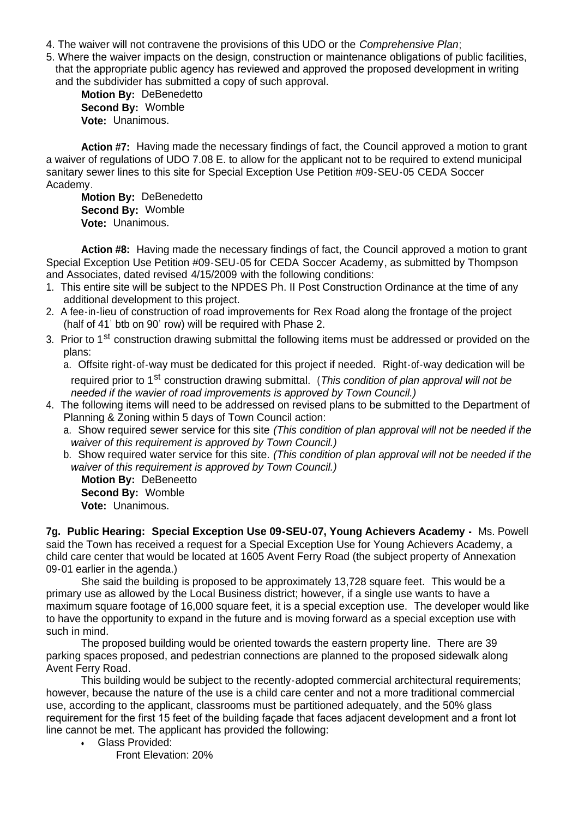- 4. The waiver will not contravene the provisions of this UDO or the *Comprehensive Plan*;
- 5. Where the waiver impacts on the design, construction or maintenance obligations of public facilities, that the appropriate public agency has reviewed and approved the proposed development in writing and the subdivider has submitted a copy of such approval.

**Motion By:** DeBenedetto **Second By:** Womble **Vote:** Unanimous.

**Action #7:** Having made the necessary findings of fact, the Council approved a motion to grant a waiver of regulations of UDO 7.08 E. to allow for the applicant not to be required to extend municipal sanitary sewer lines to this site for Special Exception Use Petition #09-SEU-05 CEDA Soccer Academy.

**Motion By:** DeBenedetto **Second By:** Womble **Vote:** Unanimous.

**Action #8:** Having made the necessary findings of fact, the Council approved a motion to grant Special Exception Use Petition #09-SEU-05 for CEDA Soccer Academy, as submitted by Thompson and Associates, dated revised 4/15/2009 with the following conditions:

- 1. This entire site will be subject to the NPDES Ph. II Post Construction Ordinance at the time of any additional development to this project.
- 2. A fee-in-lieu of construction of road improvements for Rex Road along the frontage of the project (half of 41' btb on 90' row) will be required with Phase 2.
- 3. Prior to 1<sup>st</sup> construction drawing submittal the following items must be addressed or provided on the plans:

a. Offsite right-of-way must be dedicated for this project if needed. Right-of-way dedication will be required prior to 1<sup>st</sup> construction drawing submittal. (*This condition of plan approval will not be needed if the wavier of road improvements is approved by Town Council.)*

- 4. The following items will need to be addressed on revised plans to be submitted to the Department of Planning & Zoning within 5 days of Town Council action:
	- a. Show required sewer service for this site *(This condition of plan approval will not be needed if the waiver of this requirement is approved by Town Council.)*
	- b. Show required water service for this site. *(This condition of plan approval will not be needed if the waiver of this requirement is approved by Town Council.)*

**Motion By:** DeBeneetto **Second By:** Womble **Vote:** Unanimous.

**7g. Public Hearing: Special Exception Use 09-SEU-07, Young Achievers Academy -** Ms. Powell said the Town has received a request for a Special Exception Use for Young Achievers Academy, a child care center that would be located at 1605 Avent Ferry Road (the subject property of Annexation 09-01 earlier in the agenda.)

 She said the building is proposed to be approximately 13,728 square feet. This would be a primary use as allowed by the Local Business district; however, if a single use wants to have a maximum square footage of 16,000 square feet, it is a special exception use. The developer would like to have the opportunity to expand in the future and is moving forward as a special exception use with such in mind.

 The proposed building would be oriented towards the eastern property line. There are 39 parking spaces proposed, and pedestrian connections are planned to the proposed sidewalk along Avent Ferry Road.

 This building would be subject to the recently-adopted commercial architectural requirements; however, because the nature of the use is a child care center and not a more traditional commercial use, according to the applicant, classrooms must be partitioned adequately, and the 50% glass requirement for the first 15 feet of the building façade that faces adjacent development and a front lot line cannot be met. The applicant has provided the following:

Glass Provided:

Front Elevation: 20%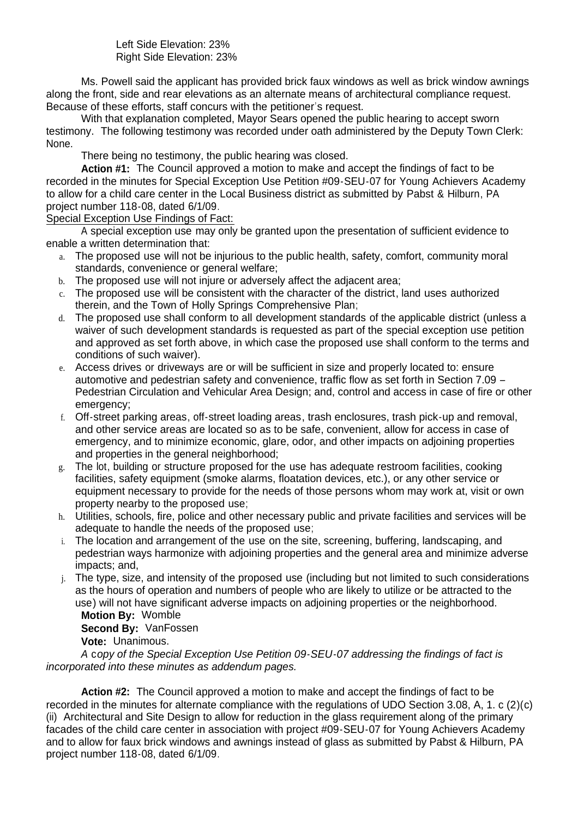#### Left Side Elevation: 23% Right Side Elevation: 23%

 Ms. Powell said the applicant has provided brick faux windows as well as brick window awnings along the front, side and rear elevations as an alternate means of architectural compliance request. Because of these efforts, staff concurs with the petitioner's request.

With that explanation completed, Mayor Sears opened the public hearing to accept sworn testimony. The following testimony was recorded under oath administered by the Deputy Town Clerk: None.

There being no testimony, the public hearing was closed.

**Action #1:** The Council approved a motion to make and accept the findings of fact to be recorded in the minutes for Special Exception Use Petition #09-SEU-07 for Young Achievers Academy to allow for a child care center in the Local Business district as submitted by Pabst & Hilburn, PA project number 118-08, dated 6/1/09.

Special Exception Use Findings of Fact:

 A special exception use may only be granted upon the presentation of sufficient evidence to enable a written determination that:

- a. The proposed use will not be injurious to the public health, safety, comfort, community moral standards, convenience or general welfare;
- b. The proposed use will not injure or adversely affect the adiacent area;
- c. The proposed use will be consistent with the character of the district, land uses authorized therein, and the Town of Holly Springs Comprehensive Plan;
- d. The proposed use shall conform to all development standards of the applicable district (unless a waiver of such development standards is requested as part of the special exception use petition and approved as set forth above, in which case the proposed use shall conform to the terms and conditions of such waiver).
- e. Access drives or driveways are or will be sufficient in size and properly located to: ensure automotive and pedestrian safety and convenience, traffic flow as set forth in Section 7.09 – Pedestrian Circulation and Vehicular Area Design; and, control and access in case of fire or other emergency;
- f. Off-street parking areas, off-street loading areas, trash enclosures, trash pick-up and removal, and other service areas are located so as to be safe, convenient, allow for access in case of emergency, and to minimize economic, glare, odor, and other impacts on adjoining properties and properties in the general neighborhood;
- g. The lot, building or structure proposed for the use has adequate restroom facilities, cooking facilities, safety equipment (smoke alarms, floatation devices, etc.), or any other service or equipment necessary to provide for the needs of those persons whom may work at, visit or own property nearby to the proposed use;
- h. Utilities, schools, fire, police and other necessary public and private facilities and services will be adequate to handle the needs of the proposed use;
- i. The location and arrangement of the use on the site, screening, buffering, landscaping, and pedestrian ways harmonize with adjoining properties and the general area and minimize adverse impacts; and,
- j. The type, size, and intensity of the proposed use (including but not limited to such considerations as the hours of operation and numbers of people who are likely to utilize or be attracted to the use) will not have significant adverse impacts on adjoining properties or the neighborhood. **Motion By:** Womble

**Second By:** VanFossen

**Vote:** Unanimous.

*A* c*opy of the Special Exception Use Petition 09-SEU-07 addressing the findings of fact is incorporated into these minutes as addendum pages.*

**Action #2:** The Council approved a motion to make and accept the findings of fact to be recorded in the minutes for alternate compliance with the regulations of UDO Section 3.08, A, 1. c (2)(c) (ii) Architectural and Site Design to allow for reduction in the glass requirement along of the primary facades of the child care center in association with project #09-SEU-07 for Young Achievers Academy and to allow for faux brick windows and awnings instead of glass as submitted by Pabst & Hilburn, PA project number 118-08, dated 6/1/09.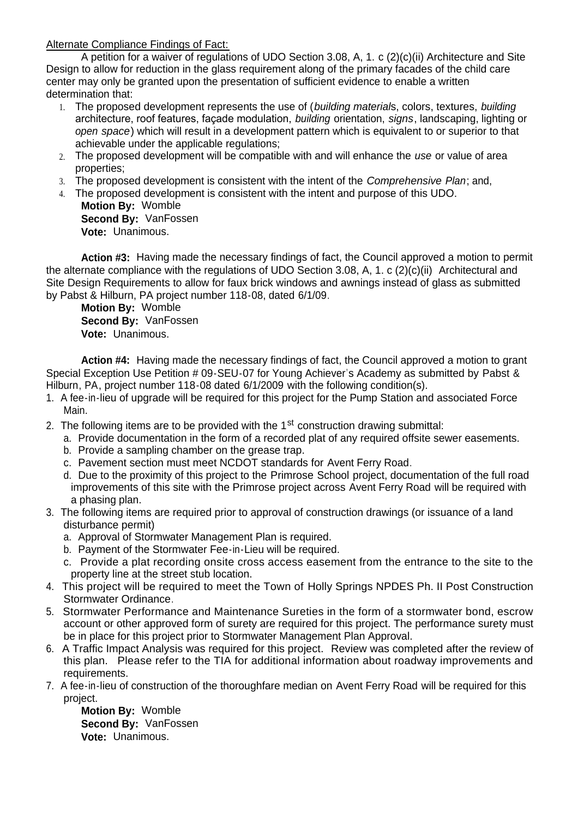Alternate Compliance Findings of Fact:

 A petition for a waiver of regulations of UDO Section 3.08, A, 1. c (2)(c)(ii) Architecture and Site Design to allow for reduction in the glass requirement along of the primary facades of the child care center may only be granted upon the presentation of sufficient evidence to enable a written determination that:

- 1. The proposed development represents the use of (*building material*s, colors, textures, *building* architecture, roof features, façade modulation, *building* orientation, *signs*, landscaping, lighting or *open space*) which will result in a development pattern which is equivalent to or superior to that achievable under the applicable regulations;
- 2. The proposed development will be compatible with and will enhance the *use* or value of area properties;
- 3. The proposed development is consistent with the intent of the *Comprehensive Plan*; and,
- 4. The proposed development is consistent with the intent and purpose of this UDO. **Motion By:** Womble

 **Second By:** VanFossen **Vote:** Unanimous.

**Action #3:** Having made the necessary findings of fact, the Council approved a motion to permit the alternate compliance with the regulations of UDO Section 3.08, A, 1. c (2)(c)(ii) Architectural and Site Design Requirements to allow for faux brick windows and awnings instead of glass as submitted by Pabst & Hilburn, PA project number 118-08, dated 6/1/09.

**Motion By:** Womble **Second By:** VanFossen **Vote:** Unanimous.

**Action #4:** Having made the necessary findings of fact, the Council approved a motion to grant Special Exception Use Petition # 09-SEU-07 for Young Achiever's Academy as submitted by Pabst & Hilburn, PA, project number 118-08 dated 6/1/2009 with the following condition(s).

- 1. A fee-in-lieu of upgrade will be required for this project for the Pump Station and associated Force Main.
- 2. The following items are to be provided with the  $1<sup>st</sup>$  construction drawing submittal:
	- a. Provide documentation in the form of a recorded plat of any required offsite sewer easements.
		- b. Provide a sampling chamber on the grease trap.
	- c. Pavement section must meet NCDOT standards for Avent Ferry Road.
	- d. Due to the proximity of this project to the Primrose School project, documentation of the full road improvements of this site with the Primrose project across Avent Ferry Road will be required with a phasing plan.
- 3. The following items are required prior to approval of construction drawings (or issuance of a land disturbance permit)
	- a. Approval of Stormwater Management Plan is required.
	- b. Payment of the Stormwater Fee-in-Lieu will be required.
	- c. Provide a plat recording onsite cross access easement from the entrance to the site to the property line at the street stub location.
- 4. This project will be required to meet the Town of Holly Springs NPDES Ph. II Post Construction Stormwater Ordinance.
- 5. Stormwater Performance and Maintenance Sureties in the form of a stormwater bond, escrow account or other approved form of surety are required for this project. The performance surety must be in place for this project prior to Stormwater Management Plan Approval.
- 6. A Traffic Impact Analysis was required for this project. Review was completed after the review of this plan. Please refer to the TIA for additional information about roadway improvements and requirements.
- 7. A fee-in-lieu of construction of the thoroughfare median on Avent Ferry Road will be required for this project.

**Motion By:** Womble **Second By:** VanFossen **Vote:** Unanimous.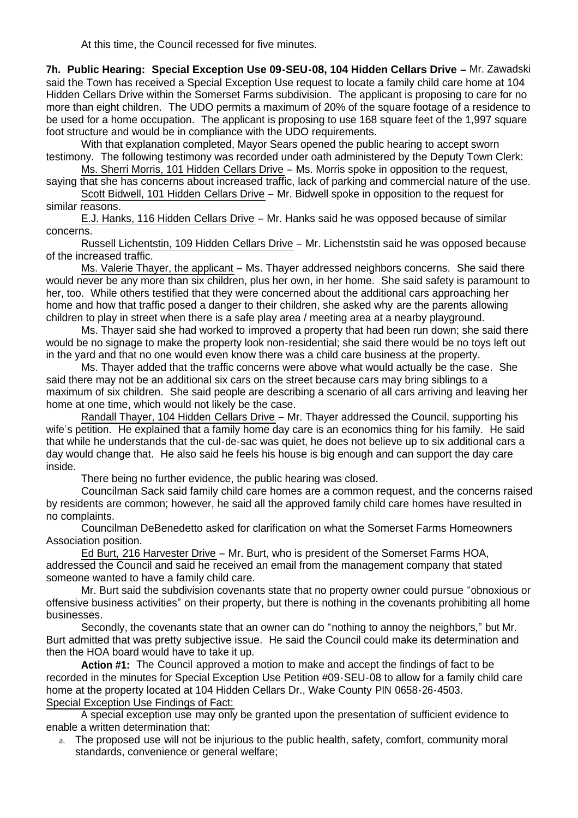At this time, the Council recessed for five minutes.

**7h. Public Hearing: Special Exception Use 09-SEU-08, 104 Hidden Cellars Drive –** Mr. Zawadski said the Town has received a Special Exception Use request to locate a family child care home at 104 Hidden Cellars Drive within the Somerset Farms subdivision. The applicant is proposing to care for no more than eight children. The UDO permits a maximum of 20% of the square footage of a residence to be used for a home occupation. The applicant is proposing to use 168 square feet of the 1,997 square foot structure and would be in compliance with the UDO requirements.

 With that explanation completed, Mayor Sears opened the public hearing to accept sworn testimony. The following testimony was recorded under oath administered by the Deputy Town Clerk:

Ms. Sherri Morris, 101 Hidden Cellars Drive – Ms. Morris spoke in opposition to the request, saying that she has concerns about increased traffic, lack of parking and commercial nature of the use.

Scott Bidwell, 101 Hidden Cellars Drive – Mr. Bidwell spoke in opposition to the request for similar reasons.

E.J. Hanks, 116 Hidden Cellars Drive – Mr. Hanks said he was opposed because of similar concerns.

Russell Lichentstin, 109 Hidden Cellars Drive – Mr. Lichenststin said he was opposed because of the increased traffic.

Ms. Valerie Thayer, the applicant – Ms. Thayer addressed neighbors concerns. She said there would never be any more than six children, plus her own, in her home. She said safety is paramount to her, too. While others testified that they were concerned about the additional cars approaching her home and how that traffic posed a danger to their children, she asked why are the parents allowing children to play in street when there is a safe play area / meeting area at a nearby playground.

Ms. Thayer said she had worked to improved a property that had been run down; she said there would be no signage to make the property look non-residential; she said there would be no toys left out in the yard and that no one would even know there was a child care business at the property.

Ms. Thayer added that the traffic concerns were above what would actually be the case. She said there may not be an additional six cars on the street because cars may bring siblings to a maximum of six children. She said people are describing a scenario of all cars arriving and leaving her home at one time, which would not likely be the case.

Randall Thayer, 104 Hidden Cellars Drive – Mr. Thayer addressed the Council, supporting his wife's petition. He explained that a family home day care is an economics thing for his family. He said that while he understands that the cul-de-sac was quiet, he does not believe up to six additional cars a day would change that. He also said he feels his house is big enough and can support the day care inside.

There being no further evidence, the public hearing was closed.

Councilman Sack said family child care homes are a common request, and the concerns raised by residents are common; however, he said all the approved family child care homes have resulted in no complaints.

Councilman DeBenedetto asked for clarification on what the Somerset Farms Homeowners Association position.

Ed Burt, 216 Harvester Drive – Mr. Burt, who is president of the Somerset Farms HOA, addressed the Council and said he received an email from the management company that stated someone wanted to have a family child care.

Mr. Burt said the subdivision covenants state that no property owner could pursue "obnoxious or offensive business activities" on their property, but there is nothing in the covenants prohibiting all home businesses.

Secondly, the covenants state that an owner can do "nothing to annoy the neighbors," but Mr. Burt admitted that was pretty subjective issue. He said the Council could make its determination and then the HOA board would have to take it up.

**Action #1:** The Council approved a motion to make and accept the findings of fact to be recorded in the minutes for Special Exception Use Petition #09-SEU-08 to allow for a family child care home at the property located at 104 Hidden Cellars Dr., Wake County PIN 0658-26-4503. Special Exception Use Findings of Fact:

 A special exception use may only be granted upon the presentation of sufficient evidence to enable a written determination that:

a. The proposed use will not be injurious to the public health, safety, comfort, community moral standards, convenience or general welfare;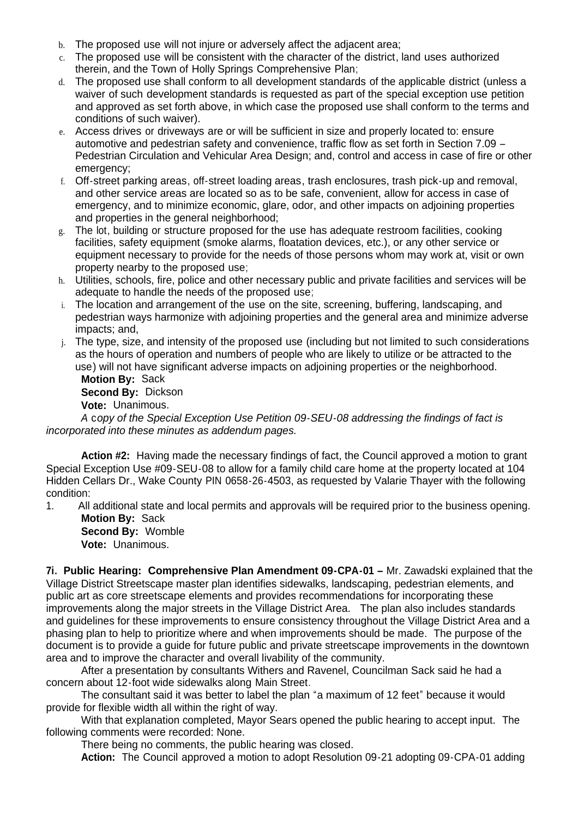- b. The proposed use will not injure or adversely affect the adjacent area;
- c. The proposed use will be consistent with the character of the district, land uses authorized therein, and the Town of Holly Springs Comprehensive Plan;
- d. The proposed use shall conform to all development standards of the applicable district (unless a waiver of such development standards is requested as part of the special exception use petition and approved as set forth above, in which case the proposed use shall conform to the terms and conditions of such waiver).
- e. Access drives or driveways are or will be sufficient in size and properly located to: ensure automotive and pedestrian safety and convenience, traffic flow as set forth in Section 7.09 – Pedestrian Circulation and Vehicular Area Design; and, control and access in case of fire or other emergency:
- f. Off-street parking areas, off-street loading areas, trash enclosures, trash pick-up and removal, and other service areas are located so as to be safe, convenient, allow for access in case of emergency, and to minimize economic, glare, odor, and other impacts on adjoining properties and properties in the general neighborhood;
- g. The lot, building or structure proposed for the use has adequate restroom facilities, cooking facilities, safety equipment (smoke alarms, floatation devices, etc.), or any other service or equipment necessary to provide for the needs of those persons whom may work at, visit or own property nearby to the proposed use;
- h. Utilities, schools, fire, police and other necessary public and private facilities and services will be adequate to handle the needs of the proposed use;
- i. The location and arrangement of the use on the site, screening, buffering, landscaping, and pedestrian ways harmonize with adjoining properties and the general area and minimize adverse impacts; and,
- j. The type, size, and intensity of the proposed use (including but not limited to such considerations as the hours of operation and numbers of people who are likely to utilize or be attracted to the use) will not have significant adverse impacts on adjoining properties or the neighborhood. **Motion By:** Sack

 **Second By:** Dickson **Vote:** Unanimous.

*A* c*opy of the Special Exception Use Petition 09-SEU-08 addressing the findings of fact is incorporated into these minutes as addendum pages.*

**Action #2:** Having made the necessary findings of fact, the Council approved a motion to grant Special Exception Use #09-SEU-08 to allow for a family child care home at the property located at 104 Hidden Cellars Dr., Wake County PIN 0658-26-4503, as requested by Valarie Thayer with the following condition:

1. All additional state and local permits and approvals will be required prior to the business opening. **Motion By:** Sack

 **Second By:** Womble **Vote:** Unanimous.

**7i. Public Hearing: Comprehensive Plan Amendment 09-CPA-01 –** Mr. Zawadski explained that the Village District Streetscape master plan identifies sidewalks, landscaping, pedestrian elements, and public art as core streetscape elements and provides recommendations for incorporating these improvements along the major streets in the Village District Area. The plan also includes standards and guidelines for these improvements to ensure consistency throughout the Village District Area and a phasing plan to help to prioritize where and when improvements should be made. The purpose of the document is to provide a guide for future public and private streetscape improvements in the downtown area and to improve the character and overall livability of the community.

After a presentation by consultants Withers and Ravenel, Councilman Sack said he had a concern about 12-foot wide sidewalks along Main Street.

The consultant said it was better to label the plan "a maximum of 12 feet" because it would provide for flexible width all within the right of way.

With that explanation completed, Mayor Sears opened the public hearing to accept input. The following comments were recorded: None.

There being no comments, the public hearing was closed.

**Action:** The Council approved a motion to adopt Resolution 09-21 adopting 09-CPA-01 adding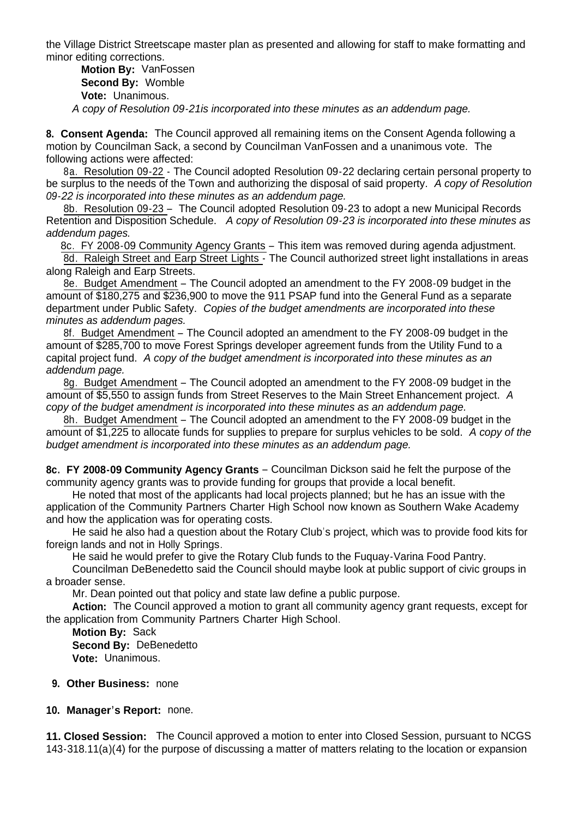the Village District Streetscape master plan as presented and allowing for staff to make formatting and minor editing corrections.

**Motion By:** VanFossen **Second By:** Womble **Vote:** Unanimous.

 *A copy of Resolution 09-21is incorporated into these minutes as an addendum page.*

**8. Consent Agenda:** The Council approved all remaining items on the Consent Agenda following a motion by Councilman Sack, a second by Councilman VanFossen and a unanimous vote. The following actions were affected:

 8a. Resolution 09-22 - The Council adopted Resolution 09-22 declaring certain personal property to be surplus to the needs of the Town and authorizing the disposal of said property. *A copy of Resolution 09-22 is incorporated into these minutes as an addendum page.*

8b. Resolution 09-23 – The Council adopted Resolution 09-23 to adopt a new Municipal Records Retention and Disposition Schedule. *A copy of Resolution 09-23 is incorporated into these minutes as addendum pages.*

8c. FY 2008-09 Community Agency Grants – This item was removed during agenda adjustment.

8d. Raleigh Street and Earp Street Lights - The Council authorized street light installations in areas along Raleigh and Earp Streets.

8e. Budget Amendment – The Council adopted an amendment to the FY 2008-09 budget in the amount of \$180,275 and \$236,900 to move the 911 PSAP fund into the General Fund as a separate department under Public Safety. *Copies of the budget amendments are incorporated into these minutes as addendum pages.*

 8f. Budget Amendment – The Council adopted an amendment to the FY 2008-09 budget in the amount of \$285,700 to move Forest Springs developer agreement funds from the Utility Fund to a capital project fund. *A copy of the budget amendment is incorporated into these minutes as an addendum page.* 

 8g. Budget Amendment – The Council adopted an amendment to the FY 2008-09 budget in the amount of \$5,550 to assign funds from Street Reserves to the Main Street Enhancement project. *A copy of the budget amendment is incorporated into these minutes as an addendum page.* 

 8h. Budget Amendment – The Council adopted an amendment to the FY 2008-09 budget in the amount of \$1,225 to allocate funds for supplies to prepare for surplus vehicles to be sold. *A copy of the budget amendment is incorporated into these minutes as an addendum page.*

**8c. FY 2008-09 Community Agency Grants** – Councilman Dickson said he felt the purpose of the community agency grants was to provide funding for groups that provide a local benefit.

 He noted that most of the applicants had local projects planned; but he has an issue with the application of the Community Partners Charter High School now known as Southern Wake Academy and how the application was for operating costs.

 He said he also had a question about the Rotary Club's project, which was to provide food kits for foreign lands and not in Holly Springs.

He said he would prefer to give the Rotary Club funds to the Fuquay-Varina Food Pantry.

 Councilman DeBenedetto said the Council should maybe look at public support of civic groups in a broader sense.

Mr. Dean pointed out that policy and state law define a public purpose.

 **Action:** The Council approved a motion to grant all community agency grant requests, except for the application from Community Partners Charter High School.

 **Motion By:** Sack **Second By:** DeBenedetto **Vote:** Unanimous.

#### **9. Other Business:** none

**10. Manager's Report:** none.

**11. Closed Session:** The Council approved a motion to enter into Closed Session, pursuant to NCGS 143-318.11(a)(4) for the purpose of discussing a matter of matters relating to the location or expansion